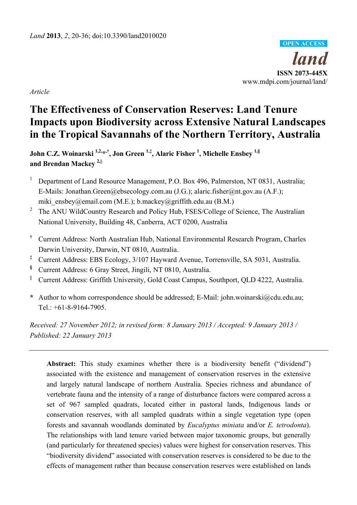

*Article* 

# **The Effectiveness of Conservation Reserves: Land Tenure Impacts upon Biodiversity across Extensive Natural Landscapes in the Tropical Savannahs of the Northern Territory, Australia**

**John C.Z. Woinarski 1,2,\*,†, Jon Green 1,‡, Alaric Fisher 1 , Michelle Ensbey 1,§ and Brendan Mackey 2,||**

- 1 Department of Land Resource Management, P.O. Box 496, Palmerston, NT 0831, Australia; E-Mails: Jonathan.Green@ebsecology.com.au (J.G.); alaric.fisher@nt.gov.au (A.F.); miki\_ensbey@email.com (M.E.); b.mackey@griffith.edu.au (B.M.)
- <sup>2</sup> The ANU WildCountry Research and Policy Hub, FSES/College of Science, The Australian National University, Building 48, Canberra, ACT 0200, Australia
- **†** Current Address: North Australian Hub, National Environmental Research Program, Charles Darwin University, Darwin, NT 0810, Australia.
- **‡** Current Address: EBS Ecology, 3/107 Hayward Avenue, Torrensville, SA 5031, Australia.
- **§** Current Address: 6 Gray Street, Jingili, NT 0810, Australia.
- **||** Current Address: Griffith University, Gold Coast Campus, Southport, QLD 4222, Australia.
- **\*** Author to whom correspondence should be addressed; E-Mail: john.woinarski@cdu.edu.au; Tel.:  $+61-8-9164-7905$

*Received: 27 November 2012; in revised form: 8 January 2013 / Accepted: 9 January 2013 / Published: 22 January 2013* 

**Abstract:** This study examines whether there is a biodiversity benefit ("dividend") associated with the existence and management of conservation reserves in the extensive and largely natural landscape of northern Australia. Species richness and abundance of vertebrate fauna and the intensity of a range of disturbance factors were compared across a set of 967 sampled quadrats, located either in pastoral lands, Indigenous lands or conservation reserves, with all sampled quadrats within a single vegetation type (open forests and savannah woodlands dominated by *Eucalyptus miniata* and/or *E. tetrodonta*). The relationships with land tenure varied between major taxonomic groups, but generally (and particularly for threatened species) values were highest for conservation reserves. This "biodiversity dividend" associated with conservation reserves is considered to be due to the effects of management rather than because conservation reserves were established on lands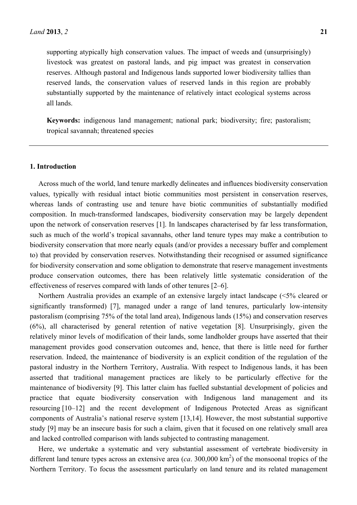supporting atypically high conservation values. The impact of weeds and (unsurprisingly) livestock was greatest on pastoral lands, and pig impact was greatest in conservation reserves. Although pastoral and Indigenous lands supported lower biodiversity tallies than reserved lands, the conservation values of reserved lands in this region are probably substantially supported by the maintenance of relatively intact ecological systems across all lands.

**Keywords:** indigenous land management; national park; biodiversity; fire; pastoralism; tropical savannah; threatened species

## **1. Introduction**

Across much of the world, land tenure markedly delineates and influences biodiversity conservation values, typically with residual intact biotic communities most persistent in conservation reserves, whereas lands of contrasting use and tenure have biotic communities of substantially modified composition. In much-transformed landscapes, biodiversity conservation may be largely dependent upon the network of conservation reserves [1]. In landscapes characterised by far less transformation, such as much of the world's tropical savannahs, other land tenure types may make a contribution to biodiversity conservation that more nearly equals (and/or provides a necessary buffer and complement to) that provided by conservation reserves. Notwithstanding their recognised or assumed significance for biodiversity conservation and some obligation to demonstrate that reserve management investments produce conservation outcomes, there has been relatively little systematic consideration of the effectiveness of reserves compared with lands of other tenures [2–6].

Northern Australia provides an example of an extensive largely intact landscape (<5% cleared or significantly transformed) [7], managed under a range of land tenures, particularly low-intensity pastoralism (comprising 75% of the total land area), Indigenous lands (15%) and conservation reserves (6%), all characterised by general retention of native vegetation [8]. Unsurprisingly, given the relatively minor levels of modification of their lands, some landholder groups have asserted that their management provides good conservation outcomes and, hence, that there is little need for further reservation. Indeed, the maintenance of biodiversity is an explicit condition of the regulation of the pastoral industry in the Northern Territory, Australia. With respect to Indigenous lands, it has been asserted that traditional management practices are likely to be particularly effective for the maintenance of biodiversity [9]. This latter claim has fuelled substantial development of policies and practice that equate biodiversity conservation with Indigenous land management and its resourcing [10–12] and the recent development of Indigenous Protected Areas as significant components of Australia's national reserve system [13,14]. However, the most substantial supportive study [9] may be an insecure basis for such a claim, given that it focused on one relatively small area and lacked controlled comparison with lands subjected to contrasting management.

Here, we undertake a systematic and very substantial assessment of vertebrate biodiversity in different land tenure types across an extensive area  $(ca. 300,000 \text{ km}^2)$  of the monsoonal tropics of the Northern Territory. To focus the assessment particularly on land tenure and its related management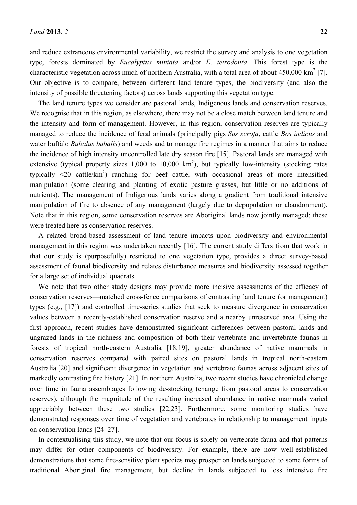and reduce extraneous environmental variability, we restrict the survey and analysis to one vegetation type, forests dominated by *Eucalyptus miniata* and/or *E. tetrodonta*. This forest type is the characteristic vegetation across much of northern Australia, with a total area of about  $450,000 \text{ km}^2$  [7]. Our objective is to compare, between different land tenure types, the biodiversity (and also the intensity of possible threatening factors) across lands supporting this vegetation type.

The land tenure types we consider are pastoral lands, Indigenous lands and conservation reserves. We recognise that in this region, as elsewhere, there may not be a close match between land tenure and the intensity and form of management. However, in this region, conservation reserves are typically managed to reduce the incidence of feral animals (principally pigs *Sus scrofa*, cattle *Bos indicus* and water buffalo *Bubalus bubalis*) and weeds and to manage fire regimes in a manner that aims to reduce the incidence of high intensity uncontrolled late dry season fire [15]. Pastoral lands are managed with extensive (typical property sizes  $1,000$  to  $10,000 \text{ km}^2$ ), but typically low-intensity (stocking rates typically  $\leq$ 20 cattle/km<sup>2</sup>) ranching for beef cattle, with occasional areas of more intensified manipulation (some clearing and planting of exotic pasture grasses, but little or no additions of nutrients). The management of Indigenous lands varies along a gradient from traditional intensive manipulation of fire to absence of any management (largely due to depopulation or abandonment). Note that in this region, some conservation reserves are Aboriginal lands now jointly managed; these were treated here as conservation reserves.

A related broad-based assessment of land tenure impacts upon biodiversity and environmental management in this region was undertaken recently [16]. The current study differs from that work in that our study is (purposefully) restricted to one vegetation type, provides a direct survey-based assessment of faunal biodiversity and relates disturbance measures and biodiversity assessed together for a large set of individual quadrats.

We note that two other study designs may provide more incisive assessments of the efficacy of conservation reserves—matched cross-fence comparisons of contrasting land tenure (or management) types (e.g., [17]) and controlled time-series studies that seek to measure divergence in conservation values between a recently-established conservation reserve and a nearby unreserved area. Using the first approach, recent studies have demonstrated significant differences between pastoral lands and ungrazed lands in the richness and composition of both their vertebrate and invertebrate faunas in forests of tropical north-eastern Australia [18,19], greater abundance of native mammals in conservation reserves compared with paired sites on pastoral lands in tropical north-eastern Australia [20] and significant divergence in vegetation and vertebrate faunas across adjacent sites of markedly contrasting fire history [21]. In northern Australia, two recent studies have chronicled change over time in fauna assemblages following de-stocking (change from pastoral areas to conservation reserves), although the magnitude of the resulting increased abundance in native mammals varied appreciably between these two studies [22,23]. Furthermore, some monitoring studies have demonstrated responses over time of vegetation and vertebrates in relationship to management inputs on conservation lands [24–27].

In contextualising this study, we note that our focus is solely on vertebrate fauna and that patterns may differ for other components of biodiversity. For example, there are now well-established demonstrations that some fire-sensitive plant species may prosper on lands subjected to some forms of traditional Aboriginal fire management, but decline in lands subjected to less intensive fire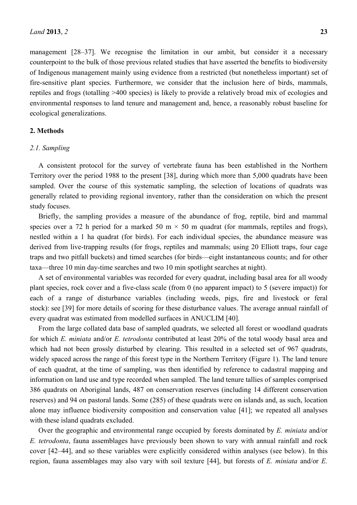management [28–37]. We recognise the limitation in our ambit, but consider it a necessary counterpoint to the bulk of those previous related studies that have asserted the benefits to biodiversity of Indigenous management mainly using evidence from a restricted (but nonetheless important) set of fire-sensitive plant species. Furthermore, we consider that the inclusion here of birds, mammals, reptiles and frogs (totalling >400 species) is likely to provide a relatively broad mix of ecologies and environmental responses to land tenure and management and, hence, a reasonably robust baseline for ecological generalizations.

## **2. Methods**

## *2.1. Sampling*

A consistent protocol for the survey of vertebrate fauna has been established in the Northern Territory over the period 1988 to the present [38], during which more than 5,000 quadrats have been sampled. Over the course of this systematic sampling, the selection of locations of quadrats was generally related to providing regional inventory, rather than the consideration on which the present study focuses.

Briefly, the sampling provides a measure of the abundance of frog, reptile, bird and mammal species over a 72 h period for a marked 50 m  $\times$  50 m quadrat (for mammals, reptiles and frogs), nestled within a 1 ha quadrat (for birds). For each individual species, the abundance measure was derived from live-trapping results (for frogs, reptiles and mammals; using 20 Elliott traps, four cage traps and two pitfall buckets) and timed searches (for birds—eight instantaneous counts; and for other taxa—three 10 min day-time searches and two 10 min spotlight searches at night).

A set of environmental variables was recorded for every quadrat, including basal area for all woody plant species, rock cover and a five-class scale (from 0 (no apparent impact) to 5 (severe impact)) for each of a range of disturbance variables (including weeds, pigs, fire and livestock or feral stock): see [39] for more details of scoring for these disturbance values. The average annual rainfall of every quadrat was estimated from modelled surfaces in ANUCLIM [40].

From the large collated data base of sampled quadrats, we selected all forest or woodland quadrats for which *E. miniata* and/or *E. tetrodonta* contributed at least 20% of the total woody basal area and which had not been grossly disturbed by clearing. This resulted in a selected set of 967 quadrats, widely spaced across the range of this forest type in the Northern Territory (Figure 1). The land tenure of each quadrat, at the time of sampling, was then identified by reference to cadastral mapping and information on land use and type recorded when sampled. The land tenure tallies of samples comprised 386 quadrats on Aboriginal lands, 487 on conservation reserves (including 14 different conservation reserves) and 94 on pastoral lands. Some (285) of these quadrats were on islands and, as such, location alone may influence biodiversity composition and conservation value [41]; we repeated all analyses with these island quadrats excluded.

Over the geographic and environmental range occupied by forests dominated by *E. miniata* and/or *E. tetrodonta*, fauna assemblages have previously been shown to vary with annual rainfall and rock cover [42–44], and so these variables were explicitly considered within analyses (see below). In this region, fauna assemblages may also vary with soil texture [44], but forests of *E. miniata* and/or *E.*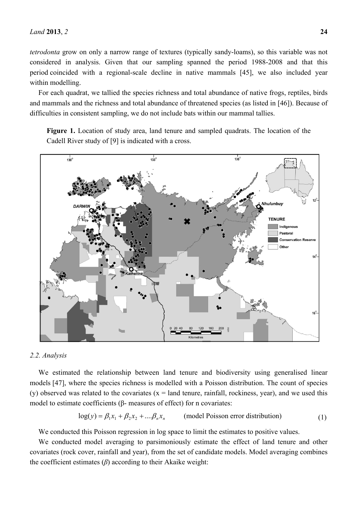*tetrodonta* grow on only a narrow range of textures (typically sandy-loams), so this variable was not considered in analysis. Given that our sampling spanned the period 1988-2008 and that this period coincided with a regional-scale decline in native mammals [45], we also included year within modelling.

For each quadrat, we tallied the species richness and total abundance of native frogs, reptiles, birds and mammals and the richness and total abundance of threatened species (as listed in [46]). Because of difficulties in consistent sampling, we do not include bats within our mammal tallies.

**Figure 1.** Location of study area, land tenure and sampled quadrats. The location of the Cadell River study of [9] is indicated with a cross.



#### *2.2. Analysis*

We estimated the relationship between land tenure and biodiversity using generalised linear models [47], where the species richness is modelled with a Poisson distribution. The count of species (y) observed was related to the covariates  $(x = land$  tenure, rainfall, rockiness, year), and we used this model to estimate coefficients (β- measures of effect) for n covariates:

$$
log(y) = \beta_1 x_1 + \beta_2 x_2 + \dots + \beta_n x_n
$$
 (model Poisson error distribution) (1)

We conducted this Poisson regression in log space to limit the estimates to positive values.

We conducted model averaging to parsimoniously estimate the effect of land tenure and other covariates (rock cover, rainfall and year), from the set of candidate models. Model averaging combines the coefficient estimates (*β*) according to their Akaike weight: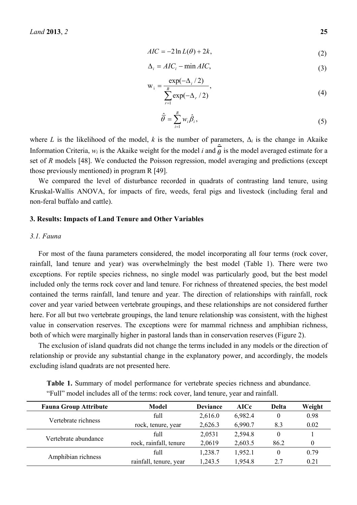$$
AIC = -2\ln L(\theta) + 2k,\tag{2}
$$

$$
\Delta_i = AIC_i - \min AIC,\tag{3}
$$

$$
w_i = \frac{\exp(-\Delta_i/2)}{\sum_{r=1}^{R} \exp(-\Delta_r/2)},
$$
\n(4)

$$
\hat{\overline{\theta}} = \sum_{i=1}^{R} w_i \hat{\beta}_i, \qquad (5)
$$

where *L* is the likelihood of the model, *k* is the number of parameters,  $\Delta_i$  is the change in Akaike Information Criteria,  $w_i$  is the Akaike weight for the model *i* and  $\hat{\theta}$  is the model averaged estimate for a set of *R* models [48]. We conducted the Poisson regression, model averaging and predictions (except those previously mentioned) in program R [49].

We compared the level of disturbance recorded in quadrats of contrasting land tenure, using Kruskal-Wallis ANOVA, for impacts of fire, weeds, feral pigs and livestock (including feral and non-feral buffalo and cattle).

## **3. Results: Impacts of Land Tenure and Other Variables**

## *3.1. Fauna*

For most of the fauna parameters considered, the model incorporating all four terms (rock cover, rainfall, land tenure and year) was overwhelmingly the best model (Table 1). There were two exceptions. For reptile species richness, no single model was particularly good, but the best model included only the terms rock cover and land tenure. For richness of threatened species, the best model contained the terms rainfall, land tenure and year. The direction of relationships with rainfall, rock cover and year varied between vertebrate groupings, and these relationships are not considered further here. For all but two vertebrate groupings, the land tenure relationship was consistent, with the highest value in conservation reserves. The exceptions were for mammal richness and amphibian richness, both of which were marginally higher in pastoral lands than in conservation reserves (Figure 2).

The exclusion of island quadrats did not change the terms included in any models or the direction of relationship or provide any substantial change in the explanatory power, and accordingly, the models excluding island quadrats are not presented here.

**Table 1.** Summary of model performance for vertebrate species richness and abundance. "Full" model includes all of the terms: rock cover, land tenure, year and rainfall.

| <b>Fauna Group Attribute</b> | <b>Model</b>           | <b>Deviance</b> | <b>AICc</b> | <b>Delta</b> | Weight |
|------------------------------|------------------------|-----------------|-------------|--------------|--------|
| Vertebrate richness          | full                   | 2,616.0         | 6,982.4     | $\theta$     | 0.98   |
|                              | rock, tenure, year     | 2,626.3         | 6,990.7     | 8.3          | 0.02   |
|                              | full                   | 2,0531          | 2,594.8     | 0            |        |
| Vertebrate abundance         | rock, rainfall, tenure | 2,0619          | 2,603.5     | 86.2         |        |
| Amphibian richness           | full                   | 1,238.7         | 1,952.1     | 0            | 0.79   |
|                              | rainfall, tenure, year | 1,243.5         | 1,954.8     | 2.7          | 0.21   |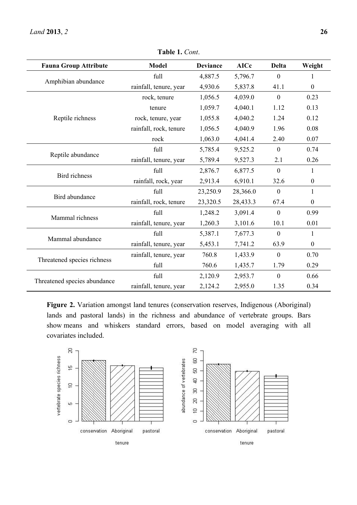| <b>Fauna Group Attribute</b> | <b>Model</b>           | <b>Deviance</b> | <b>AICc</b> | <b>Delta</b>     | Weight           |
|------------------------------|------------------------|-----------------|-------------|------------------|------------------|
| Amphibian abundance          | full                   | 4,887.5         | 5,796.7     | $\boldsymbol{0}$ | 1                |
|                              | rainfall, tenure, year | 4,930.6         | 5,837.8     | 41.1             | $\boldsymbol{0}$ |
|                              | rock, tenure           | 1,056.5         | 4,039.0     | $\overline{0}$   | 0.23             |
|                              | tenure                 | 1,059.7         | 4,040.1     | 1.12             | 0.13             |
| Reptile richness             | rock, tenure, year     | 1,055.8         | 4,040.2     | 1.24             | 0.12             |
|                              | rainfall, rock, tenure | 1,056.5         | 4,040.9     | 1.96             | 0.08             |
|                              | rock                   | 1,063.0         | 4,041.4     | 2.40             | 0.07             |
| Reptile abundance            | full                   | 5,785.4         | 9,525.2     | $\mathbf{0}$     | 0.74             |
|                              | rainfall, tenure, year | 5,789.4         | 9,527.3     | 2.1              | 0.26             |
| <b>Bird</b> richness         | full                   | 2,876.7         | 6,877.5     | $\mathbf{0}$     | 1                |
|                              | rainfall, rock, year   | 2,913.4         | 6,910.1     | 32.6             | $\boldsymbol{0}$ |
| Bird abundance               | full                   | 23,250.9        | 28,366.0    | $\overline{0}$   | 1                |
|                              | rainfall, rock, tenure | 23,320.5        | 28,433.3    | 67.4             | $\boldsymbol{0}$ |
| Mammal richness              | full                   | 1,248.2         | 3,091.4     | $\boldsymbol{0}$ | 0.99             |
|                              | rainfall, tenure, year | 1,260.3         | 3,101.6     | 10.1             | 0.01             |
| Mammal abundance             | full                   | 5,387.1         | 7,677.3     | $\boldsymbol{0}$ | 1                |
|                              | rainfall, tenure, year | 5,453.1         | 7,741.2     | 63.9             | $\boldsymbol{0}$ |
| Threatened species richness  | rainfall, tenure, year | 760.8           | 1,433.9     | $\mathbf{0}$     | 0.70             |
|                              | full                   | 760.6           | 1,435.7     | 1.79             | 0.29             |
|                              | full                   | 2,120.9         | 2,953.7     | $\boldsymbol{0}$ | 0.66             |
| Threatened species abundance | rainfall, tenure, year | 2,124.2         | 2,955.0     | 1.35             | 0.34             |

**Table 1.** *Cont*.

**Figure 2.** Variation amongst land tenures (conservation reserves, Indigenous (Aboriginal) lands and pastoral lands) in the richness and abundance of vertebrate groups. Bars show means and whiskers standard errors, based on model averaging with all covariates included.

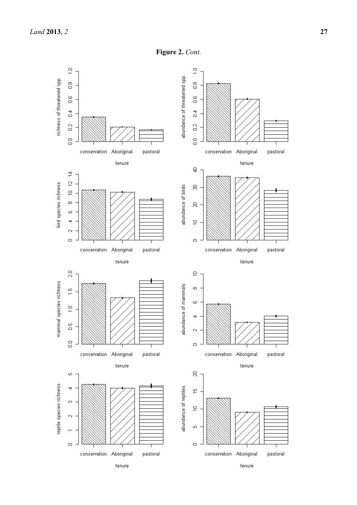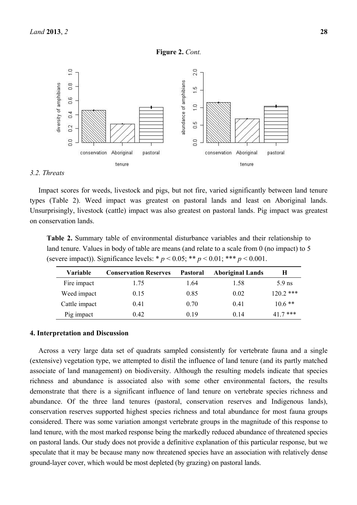

#### *3.2. Threats*

Impact scores for weeds, livestock and pigs, but not fire, varied significantly between land tenure types (Table 2). Weed impact was greatest on pastoral lands and least on Aboriginal lands. Unsurprisingly, livestock (cattle) impact was also greatest on pastoral lands. Pig impact was greatest on conservation lands.

**Table 2.** Summary table of environmental disturbance variables and their relationship to land tenure. Values in body of table are means (and relate to a scale from 0 (no impact) to 5 (severe impact)). Significance levels: \*  $p < 0.05$ ; \*\*  $p < 0.01$ ; \*\*\*  $p < 0.001$ .

| Variable      | <b>Conservation Reserves</b> | Pastoral | <b>Aboriginal Lands</b> | Н           |
|---------------|------------------------------|----------|-------------------------|-------------|
| Fire impact   | 1.75                         | 1.64     | 1.58                    | $5.9$ ns    |
| Weed impact   | 0.15                         | 0.85     | 0.02                    | $120.2$ *** |
| Cattle impact | 0.41                         | 0.70     | 0.41                    | $10.6**$    |
| Pig impact    | 0.42                         | 0.19     | 0.14                    | $41.7$ ***  |

#### **4. Interpretation and Discussion**

Across a very large data set of quadrats sampled consistently for vertebrate fauna and a single (extensive) vegetation type, we attempted to distil the influence of land tenure (and its partly matched associate of land management) on biodiversity. Although the resulting models indicate that species richness and abundance is associated also with some other environmental factors, the results demonstrate that there is a significant influence of land tenure on vertebrate species richness and abundance. Of the three land tenures (pastoral, conservation reserves and Indigenous lands), conservation reserves supported highest species richness and total abundance for most fauna groups considered. There was some variation amongst vertebrate groups in the magnitude of this response to land tenure, with the most marked response being the markedly reduced abundance of threatened species on pastoral lands. Our study does not provide a definitive explanation of this particular response, but we speculate that it may be because many now threatened species have an association with relatively dense ground-layer cover, which would be most depleted (by grazing) on pastoral lands.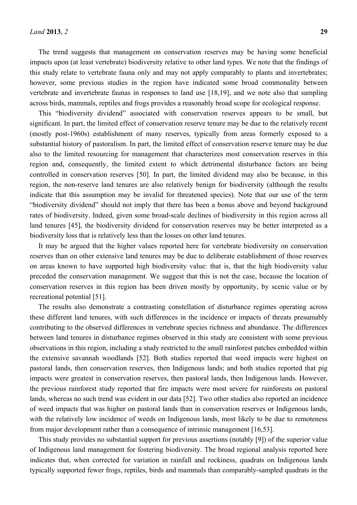The trend suggests that management on conservation reserves may be having some beneficial impacts upon (at least vertebrate) biodiversity relative to other land types. We note that the findings of this study relate to vertebrate fauna only and may not apply comparably to plants and invertebrates; however, some previous studies in the region have indicated some broad commonality between vertebrate and invertebrate faunas in responses to land use [18,19], and we note also that sampling

across birds, mammals, reptiles and frogs provides a reasonably broad scope for ecological response.

This "biodiversity dividend" associated with conservation reserves appears to be small, but significant. In part, the limited effect of conservation reserve tenure may be due to the relatively recent (mostly post-1960s) establishment of many reserves, typically from areas formerly exposed to a substantial history of pastoralism. In part, the limited effect of conservation reserve tenure may be due also to the limited resourcing for management that characterizes most conservation reserves in this region and, consequently, the limited extent to which detrimental disturbance factors are being controlled in conservation reserves [50]. In part, the limited dividend may also be because, in this region, the non-reserve land tenures are also relatively benign for biodiversity (although the results indicate that this assumption may be invalid for threatened species). Note that our use of the term "biodiversity dividend" should not imply that there has been a bonus above and beyond background rates of biodiversity. Indeed, given some broad-scale declines of biodiversity in this region across all land tenures [45], the biodiversity dividend for conservation reserves may be better interpreted as a biodiversity loss that is relatively less than the losses on other land tenures.

It may be argued that the higher values reported here for vertebrate biodiversity on conservation reserves than on other extensive land tenures may be due to deliberate establishment of those reserves on areas known to have supported high biodiversity value: that is, that the high biodiversity value preceded the conservation management. We suggest that this is not the case, because the location of conservation reserves in this region has been driven mostly by opportunity, by scenic value or by recreational potential [51].

The results also demonstrate a contrasting constellation of disturbance regimes operating across these different land tenures, with such differences in the incidence or impacts of threats presumably contributing to the observed differences in vertebrate species richness and abundance. The differences between land tenures in disturbance regimes observed in this study are consistent with some previous observations in this region, including a study restricted to the small rainforest patches embedded within the extensive savannah woodlands [52]. Both studies reported that weed impacts were highest on pastoral lands, then conservation reserves, then Indigenous lands; and both studies reported that pig impacts were greatest in conservation reserves, then pastoral lands, then Indigenous lands. However, the previous rainforest study reported that fire impacts were most severe for rainforests on pastoral lands, whereas no such trend was evident in our data [52]. Two other studies also reported an incidence of weed impacts that was higher on pastoral lands than in conservation reserves or Indigenous lands, with the relatively low incidence of weeds on Indigenous lands, most likely to be due to remoteness from major development rather than a consequence of intrinsic management [16,53].

This study provides no substantial support for previous assertions (notably [9]) of the superior value of Indigenous land management for fostering biodiversity. The broad regional analysis reported here indicates that, when corrected for variation in rainfall and rockiness, quadrats on Indigenous lands typically supported fewer frogs, reptiles, birds and mammals than comparably-sampled quadrats in the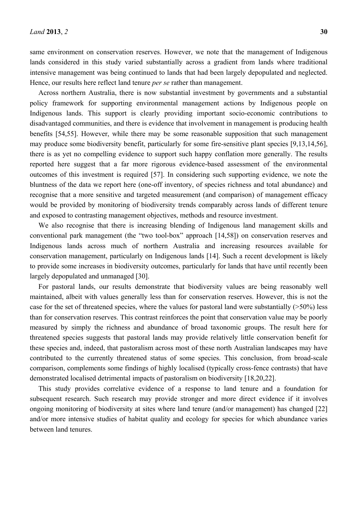same environment on conservation reserves. However, we note that the management of Indigenous lands considered in this study varied substantially across a gradient from lands where traditional intensive management was being continued to lands that had been largely depopulated and neglected. Hence, our results here reflect land tenure *per se* rather than management.

Across northern Australia, there is now substantial investment by governments and a substantial policy framework for supporting environmental management actions by Indigenous people on Indigenous lands. This support is clearly providing important socio-economic contributions to disadvantaged communities, and there is evidence that involvement in management is producing health benefits [54,55]. However, while there may be some reasonable supposition that such management may produce some biodiversity benefit, particularly for some fire-sensitive plant species [9,13,14,56], there is as yet no compelling evidence to support such happy conflation more generally. The results reported here suggest that a far more rigorous evidence-based assessment of the environmental outcomes of this investment is required [57]. In considering such supporting evidence, we note the bluntness of the data we report here (one-off inventory, of species richness and total abundance) and recognise that a more sensitive and targeted measurement (and comparison) of management efficacy would be provided by monitoring of biodiversity trends comparably across lands of different tenure and exposed to contrasting management objectives, methods and resource investment.

We also recognise that there is increasing blending of Indigenous land management skills and conventional park management (the "two tool-box" approach [14,58]) on conservation reserves and Indigenous lands across much of northern Australia and increasing resources available for conservation management, particularly on Indigenous lands [14]. Such a recent development is likely to provide some increases in biodiversity outcomes, particularly for lands that have until recently been largely depopulated and unmanaged [30].

For pastoral lands, our results demonstrate that biodiversity values are being reasonably well maintained, albeit with values generally less than for conservation reserves. However, this is not the case for the set of threatened species, where the values for pastoral land were substantially (>50%) less than for conservation reserves. This contrast reinforces the point that conservation value may be poorly measured by simply the richness and abundance of broad taxonomic groups. The result here for threatened species suggests that pastoral lands may provide relatively little conservation benefit for these species and, indeed, that pastoralism across most of these north Australian landscapes may have contributed to the currently threatened status of some species. This conclusion, from broad-scale comparison, complements some findings of highly localised (typically cross-fence contrasts) that have demonstrated localised detrimental impacts of pastoralism on biodiversity [18,20,22].

This study provides correlative evidence of a response to land tenure and a foundation for subsequent research. Such research may provide stronger and more direct evidence if it involves ongoing monitoring of biodiversity at sites where land tenure (and/or management) has changed [22] and/or more intensive studies of habitat quality and ecology for species for which abundance varies between land tenures.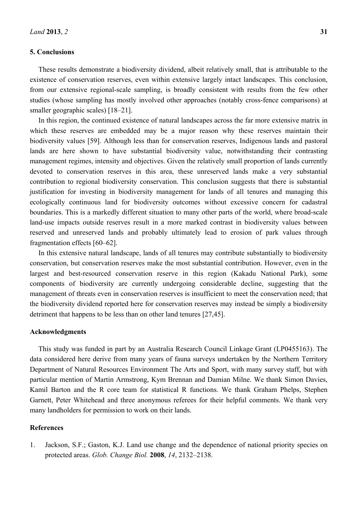## **5. Conclusions**

These results demonstrate a biodiversity dividend, albeit relatively small, that is attributable to the existence of conservation reserves, even within extensive largely intact landscapes. This conclusion, from our extensive regional-scale sampling, is broadly consistent with results from the few other studies (whose sampling has mostly involved other approaches (notably cross-fence comparisons) at smaller geographic scales) [18–21].

In this region, the continued existence of natural landscapes across the far more extensive matrix in which these reserves are embedded may be a major reason why these reserves maintain their biodiversity values [59]. Although less than for conservation reserves, Indigenous lands and pastoral lands are here shown to have substantial biodiversity value, notwithstanding their contrasting management regimes, intensity and objectives. Given the relatively small proportion of lands currently devoted to conservation reserves in this area, these unreserved lands make a very substantial contribution to regional biodiversity conservation. This conclusion suggests that there is substantial justification for investing in biodiversity management for lands of all tenures and managing this ecologically continuous land for biodiversity outcomes without excessive concern for cadastral boundaries. This is a markedly different situation to many other parts of the world, where broad-scale land-use impacts outside reserves result in a more marked contrast in biodiversity values between reserved and unreserved lands and probably ultimately lead to erosion of park values through fragmentation effects [60–62].

In this extensive natural landscape, lands of all tenures may contribute substantially to biodiversity conservation, but conservation reserves make the most substantial contribution. However, even in the largest and best-resourced conservation reserve in this region (Kakadu National Park), some components of biodiversity are currently undergoing considerable decline, suggesting that the management of threats even in conservation reserves is insufficient to meet the conservation need; that the biodiversity dividend reported here for conservation reserves may instead be simply a biodiversity detriment that happens to be less than on other land tenures [27,45].

#### **Acknowledgments**

This study was funded in part by an Australia Research Council Linkage Grant (LP0455163). The data considered here derive from many years of fauna surveys undertaken by the Northern Territory Department of Natural Resources Environment The Arts and Sport, with many survey staff, but with particular mention of Martin Armstrong, Kym Brennan and Damian Milne. We thank Simon Davies, Kamil Barton and the R core team for statistical R functions. We thank Graham Phelps, Stephen Garnett, Peter Whitehead and three anonymous referees for their helpful comments. We thank very many landholders for permission to work on their lands.

## **References**

1. Jackson, S.F.; Gaston, K.J. Land use change and the dependence of national priority species on protected areas. *Glob. Change Biol.* **2008**, *14*, 2132–2138.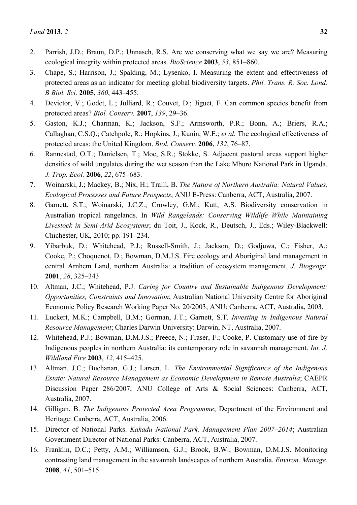- 2. Parrish, J.D.; Braun, D.P.; Unnasch, R.S. Are we conserving what we say we are? Measuring ecological integrity within protected areas. *BioScience* **2003**, *53*, 851–860.
- 3. Chape, S.; Harrison, J.; Spalding, M.; Lysenko, I. Measuring the extent and effectiveness of protected areas as an indicator for meeting global biodiversity targets. *Phil. Trans. R. Soc. Lond. B Biol. Sci.* **2005**, *360*, 443–455.
- 4. Devictor, V.; Godet, L.; Julliard, R.; Couvet, D.; Jiguet, F. Can common species benefit from protected areas? *Biol. Conserv.* **2007**, *139*, 29–36.
- 5. Gaston, K.J.; Charman, K.; Jackson, S.F.; Armsworth, P.R.; Bonn, A.; Briers, R.A.; Callaghan, C.S.Q.; Catchpole, R.; Hopkins, J.; Kunin, W.E.; *et al.* The ecological effectiveness of protected areas: the United Kingdom. *Biol. Conserv.* **2006**, *132*, 76–87.
- 6. Rannestad, O.T.; Danielsen, T.; Moe, S.R.; Stokke, S. Adjacent pastoral areas support higher densities of wild ungulates during the wet season than the Lake Mburo National Park in Uganda. *J. Trop. Ecol.* **2006**, *22*, 675–683.
- 7. Woinarski, J.; Mackey, B.; Nix, H.; Traill, B. *The Nature of Northern Australia: Natural Values, Ecological Processes and Future Prospects*; ANU E-Press: Canberra, ACT, Australia, 2007.
- 8. Garnett, S.T.; Woinarski, J.C.Z.; Crowley, G.M.; Kutt, A.S. Biodiversity conservation in Australian tropical rangelands. In *Wild Rangelands: Conserving Wildlife While Maintaining Livestock in Semi-Arid Ecosystems*; du Toit, J., Kock, R., Deutsch, J., Eds.; Wiley-Blackwell: Chichester, UK, 2010; pp. 191–234.
- 9. Yibarbuk, D.; Whitehead, P.J.; Russell-Smith, J.; Jackson, D.; Godjuwa, C.; Fisher, A.; Cooke, P.; Choquenot, D.; Bowman, D.M.J.S. Fire ecology and Aboriginal land management in central Arnhem Land, northern Australia: a tradition of ecosystem management. *J. Biogeogr.* **2001**, *28*, 325–343.
- 10. Altman, J.C.; Whitehead, P.J. *Caring for Country and Sustainable Indigenous Development: Opportunities, Constraints and Innovation*; Australian National University Centre for Aboriginal Economic Policy Research Working Paper No. 20/2003; ANU: Canberra, ACT, Australia, 2003.
- 11. Luckert, M.K.; Campbell, B.M.; Gorman, J.T.; Garnett, S.T. *Investing in Indigenous Natural Resource Management*; Charles Darwin University: Darwin, NT, Australia, 2007.
- 12. Whitehead, P.J.; Bowman, D.M.J.S.; Preece, N.; Fraser, F.; Cooke, P. Customary use of fire by Indigenous peoples in northern Australia: its contemporary role in savannah management. *Int. J. Wildland Fire* **2003**, *12*, 415–425.
- 13. Altman, J.C.; Buchanan, G.J.; Larsen, L. *The Environmental Significance of the Indigenous Estate: Natural Resource Management as Economic Development in Remote Australia*; CAEPR Discussion Paper 286/2007; ANU College of Arts & Social Sciences: Canberra, ACT, Australia, 2007.
- 14. Gilligan, B. *The Indigenous Protected Area Programme*; Department of the Environment and Heritage: Canberra, ACT, Australia, 2006.
- 15. Director of National Parks. *Kakadu National Park. Management Plan 2007–2014*; Australian Government Director of National Parks: Canberra, ACT, Australia, 2007.
- 16. Franklin, D.C.; Petty, A.M.; Williamson, G.J.; Brook, B.W.; Bowman, D.M.J.S. Monitoring contrasting land management in the savannah landscapes of northern Australia. *Environ. Manage.* **2008**, *41*, 501–515.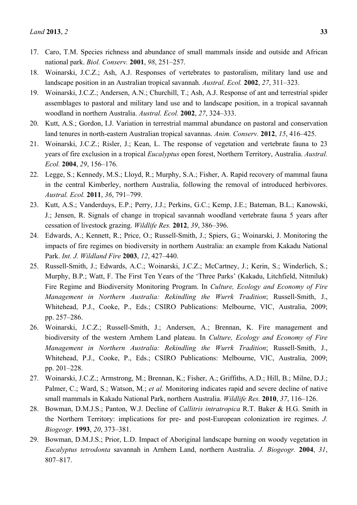- 17. Caro, T.M. Species richness and abundance of small mammals inside and outside and African national park. *Biol. Conserv.* **2001**, *98*, 251–257.
- 18. Woinarski, J.C.Z.; Ash, A.J. Responses of vertebrates to pastoralism, military land use and landscape position in an Australian tropical savannah. *Austral. Ecol.* **2002**, *27*, 311–323.
- 19. Woinarski, J.C.Z.; Andersen, A.N.; Churchill, T.; Ash, A.J. Response of ant and terrestrial spider assemblages to pastoral and military land use and to landscape position, in a tropical savannah woodland in northern Australia. *Austral. Ecol.* **2002**, *27*, 324–333.
- 20. Kutt, A.S.; Gordon, I.J. Variation in terrestrial mammal abundance on pastoral and conservation land tenures in north-eastern Australian tropical savannas. *Anim. Conserv.* **2012**, *15*, 416–425.
- 21. Woinarski, J.C.Z.; Risler, J.; Kean, L. The response of vegetation and vertebrate fauna to 23 years of fire exclusion in a tropical *Eucalyptus* open forest, Northern Territory, Australia. *Austral. Ecol.* **2004**, *29*, 156–176.
- 22. Legge, S.; Kennedy, M.S.; Lloyd, R.; Murphy, S.A.; Fisher, A. Rapid recovery of mammal fauna in the central Kimberley, northern Australia, following the removal of introduced herbivores. *Austral. Ecol.* **2011**, *36*, 791–799.
- 23. Kutt, A.S.; Vanderduys, E.P.; Perry, J.J.; Perkins, G.C.; Kemp, J.E.; Bateman, B.L.; Kanowski, J.; Jensen, R. Signals of change in tropical savannah woodland vertebrate fauna 5 years after cessation of livestock grazing. *Wildlife Res.* **2012**, *39*, 386–396.
- 24. Edwards, A.; Kennett, R.; Price, O.; Russell-Smith, J.; Spiers, G.; Woinarski, J. Monitoring the impacts of fire regimes on biodiversity in northern Australia: an example from Kakadu National Park. *Int. J. Wildland Fire* **2003**, *12*, 427–440.
- 25. Russell-Smith, J.; Edwards, A.C.; Woinarski, J.C.Z.; McCartney, J.; Kerin, S.; Winderlich, S.; Murphy, B.P.; Watt, F. The First Ten Years of the 'Three Parks' (Kakadu, Litchfield, Nitmiluk) Fire Regime and Biodiversity Monitoring Program. In *Culture, Ecology and Economy of Fire Management in Northern Australia: Rekindling the Wurrk Tradition*; Russell-Smith, J., Whitehead, P.J., Cooke, P., Eds.; CSIRO Publications: Melbourne, VIC, Australia, 2009; pp. 257–286.
- 26. Woinarski, J.C.Z.; Russell-Smith, J.; Andersen, A.; Brennan, K. Fire management and biodiversity of the western Arnhem Land plateau. In *Culture, Ecology and Economy of Fire Management in Northern Australia: Rekindling the Wurrk Tradition*; Russell-Smith, J., Whitehead, P.J., Cooke, P., Eds.; CSIRO Publications: Melbourne, VIC, Australia, 2009; pp. 201–228.
- 27. Woinarski, J.C.Z.; Armstrong, M.; Brennan, K.; Fisher, A.; Griffiths, A.D.; Hill, B.; Milne, D.J.; Palmer, C.; Ward, S.; Watson, M.; *et al.* Monitoring indicates rapid and severe decline of native small mammals in Kakadu National Park, northern Australia. *Wildlife Res.* **2010**, *37*, 116–126.
- 28. Bowman, D.M.J.S.; Panton, W.J. Decline of *Callitris intratropica* R.T. Baker & H.G. Smith in the Northern Territory: implications for pre- and post-European colonization ire regimes. *J. Biogeogr.* **1993**, *20*, 373–381.
- 29. Bowman, D.M.J.S.; Prior, L.D. Impact of Aboriginal landscape burning on woody vegetation in *Eucalyptus tetrodonta* savannah in Arnhem Land, northern Australia. *J. Biogeogr.* **2004**, *31*, 807–817.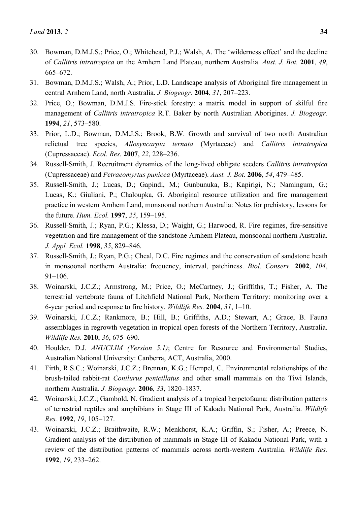- 30. Bowman, D.M.J.S.; Price, O.; Whitehead, P.J.; Walsh, A. The 'wilderness effect' and the decline of *Callitris intratropica* on the Arnhem Land Plateau, northern Australia. *Aust. J. Bot.* **2001**, *49*, 665–672.
- 31. Bowman, D.M.J.S.; Walsh, A.; Prior, L.D. Landscape analysis of Aboriginal fire management in central Arnhem Land, north Australia. *J. Biogeogr.* **2004**, *31*, 207–223.
- 32. Price, O.; Bowman, D.M.J.S. Fire-stick forestry: a matrix model in support of skilful fire management of *Callitris intratropica* R.T. Baker by north Australian Aborigines. *J. Biogeogr.*  **1994**, *21*, 573–580.
- 33. Prior, L.D.; Bowman, D.M.J.S.; Brook, B.W. Growth and survival of two north Australian relictual tree species, *Allosyncarpia ternata* (Myrtaceae) and *Callitris intratropica* (Cupressaceae). *Ecol. Res.* **2007**, *22*, 228–236.
- 34. Russell-Smith, J. Recruitment dynamics of the long-lived obligate seeders *Callitris intratropica* (Cupressaceae) and *Petraeomyrtus punicea* (Myrtaceae). *Aust. J. Bot.* **2006**, *54*, 479–485.
- 35. Russell-Smith, J.; Lucas, D.; Gapindi, M.; Gunbunuka, B.; Kapirigi, N.; Namingum, G.; Lucas, K.; Giuliani, P.; Chaloupka, G. Aboriginal resource utilization and fire management practice in western Arnhem Land, monsoonal northern Australia: Notes for prehistory, lessons for the future. *Hum. Ecol.* **1997**, *25*, 159–195.
- 36. Russell-Smith, J.; Ryan, P.G.; Klessa, D.; Waight, G.; Harwood, R. Fire regimes, fire-sensitive vegetation and fire management of the sandstone Arnhem Plateau, monsoonal northern Australia. *J. Appl. Ecol.* **1998**, *35*, 829–846.
- 37. Russell-Smith, J.; Ryan, P.G.; Cheal, D.C. Fire regimes and the conservation of sandstone heath in monsoonal northern Australia: frequency, interval, patchiness. *Biol. Conserv.* **2002**, *104*, 91–106.
- 38. Woinarski, J.C.Z.; Armstrong, M.; Price, O.; McCartney, J.; Griffiths, T.; Fisher, A. The terrestrial vertebrate fauna of Litchfield National Park, Northern Territory: monitoring over a 6-year period and response to fire history. *Wildlife Res.* **2004**, *31*, 1–10.
- 39. Woinarski, J.C.Z.; Rankmore, B.; Hill, B.; Griffiths, A.D.; Stewart, A.; Grace, B. Fauna assemblages in regrowth vegetation in tropical open forests of the Northern Territory, Australia. *Wildlife Res.* **2010**, *36*, 675–690.
- 40. Houlder, D.J. *ANUCLIM (Version 5.1)*; Centre for Resource and Environmental Studies, Australian National University: Canberra, ACT, Australia, 2000.
- 41. Firth, R.S.C.; Woinarski, J.C.Z.; Brennan, K.G.; Hempel, C. Environmental relationships of the brush-tailed rabbit-rat *Conilurus penicillatus* and other small mammals on the Tiwi Islands, northern Australia. *J. Biogeogr.* **2006**, *33*, 1820–1837.
- 42. Woinarski, J.C.Z.; Gambold, N. Gradient analysis of a tropical herpetofauna: distribution patterns of terrestrial reptiles and amphibians in Stage III of Kakadu National Park, Australia. *Wildlife Res.* **1992**, *19*, 105–127.
- 43. Woinarski, J.C.Z.; Braithwaite, R.W.; Menkhorst, K.A.; Griffin, S.; Fisher, A.; Preece, N. Gradient analysis of the distribution of mammals in Stage III of Kakadu National Park, with a review of the distribution patterns of mammals across north-western Australia. *Wildlife Res.* **1992**, *19*, 233–262.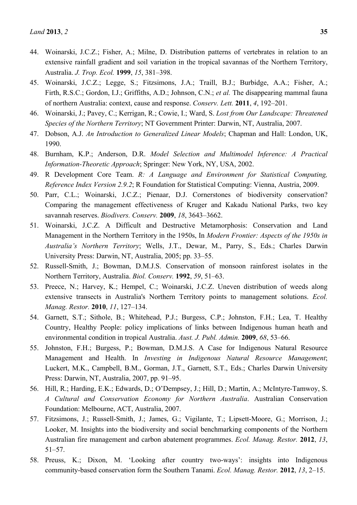- 44. Woinarski, J.C.Z.; Fisher, A.; Milne, D. Distribution patterns of vertebrates in relation to an extensive rainfall gradient and soil variation in the tropical savannas of the Northern Territory, Australia. *J. Trop. Ecol.* **1999**, *15*, 381–398.
- 45. Woinarski, J.C.Z.; Legge, S.; Fitzsimons, J.A.; Traill, B.J.; Burbidge, A.A.; Fisher, A.; Firth, R.S.C.; Gordon, I.J.; Griffiths, A.D.; Johnson, C.N.; *et al.* The disappearing mammal fauna of northern Australia: context, cause and response. *Conserv. Lett.* **2011**, *4*, 192–201.
- 46. Woinarski, J.; Pavey, C.; Kerrigan, R.; Cowie, I.; Ward, S. *Lost from Our Landscape: Threatened Species of the Northern Territory*; NT Government Printer: Darwin, NT, Australia, 2007.
- 47. Dobson, A.J. *An Introduction to Generalized Linear Models*; Chapman and Hall: London, UK, 1990.
- 48. Burnham, K.P.; Anderson, D.R. *Model Selection and Multimodel Inference: A Practical Information-Theoretic Approach*; Springer: New York, NY, USA, 2002.
- 49. R Development Core Team. *R: A Language and Environment for Statistical Computing, Reference Index Version 2.9.2*; R Foundation for Statistical Computing: Vienna, Austria, 2009.
- 50. Parr, C.L.; Woinarski, J.C.Z.; Pienaar, D.J. Cornerstones of biodiversity conservation? Comparing the management effectiveness of Kruger and Kakadu National Parks, two key savannah reserves. *Biodivers. Conserv.* **2009**, *18*, 3643–3662.
- 51. Woinarski, J.C.Z. A Difficult and Destructive Metamorphosis: Conservation and Land Management in the Northern Territory in the 1950s, In *Modern Frontier: Aspects of the 1950s in Australia's Northern Territory*; Wells, J.T., Dewar, M., Parry, S., Eds.; Charles Darwin University Press: Darwin, NT, Australia, 2005; pp. 33–55.
- 52. Russell-Smith, J.; Bowman, D.M.J.S. Conservation of monsoon rainforest isolates in the Northern Territory, Australia. *Biol. Conserv.* **1992**, *59*, 51–63.
- 53. Preece, N.; Harvey, K.; Hempel, C.; Woinarski, J.C.Z. Uneven distribution of weeds along extensive transects in Australia's Northern Territory points to management solutions. *Ecol. Manag. Restor.* **2010**, *11*, 127–134.
- 54. Garnett, S.T.; Sithole, B.; Whitehead, P.J.; Burgess, C.P.; Johnston, F.H.; Lea, T. Healthy Country, Healthy People: policy implications of links between Indigenous human heath and environmental condition in tropical Australia. *Aust. J. Publ. Admin.* **2009**, *68*, 53–66.
- 55. Johnston, F.H.; Burgess, P.; Bowman, D.M.J.S. A Case for Indigenous Natural Resource Management and Health. In *Investing in Indigenous Natural Resource Management*; Luckert, M.K., Campbell, B.M., Gorman, J.T., Garnett, S.T., Eds.; Charles Darwin University Press: Darwin, NT, Australia, 2007, pp. 91–95.
- 56. Hill, R.; Harding, E.K.; Edwards, D.; O'Dempsey, J.; Hill, D.; Martin, A.; McIntyre-Tamwoy, S. *A Cultural and Conservation Economy for Northern Australia*. Australian Conservation Foundation: Melbourne, ACT, Australia, 2007.
- 57. Fitzsimons, J.; Russell-Smith, J.; James, G.; Vigilante, T.; Lipsett-Moore, G.; Morrison, J.; Looker, M. Insights into the biodiversity and social benchmarking components of the Northern Australian fire management and carbon abatement programmes. *Ecol. Manag. Restor.* **2012**, *13*, 51–57.
- 58. Preuss, K.; Dixon, M. 'Looking after country two-ways': insights into Indigenous community-based conservation form the Southern Tanami. *Ecol. Manag. Restor.* **2012**, *13*, 2–15.